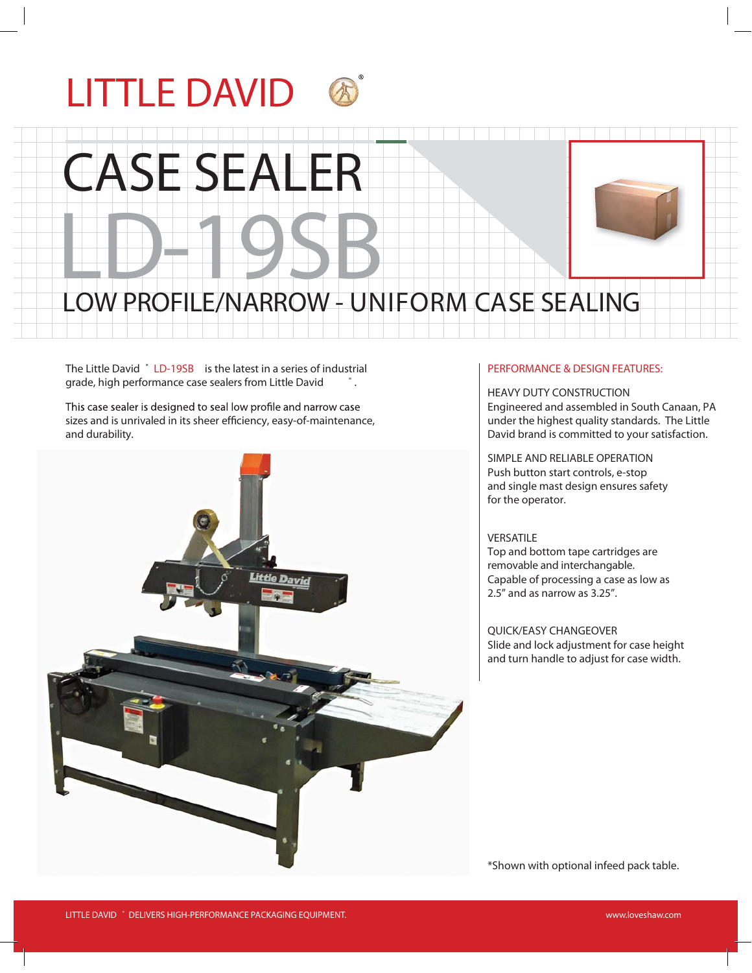

# ASE SEALE

### LD-19SB LOW PROFILE/NARROW - UNIFORM CASE SEALING

The Little David ® LD-19SB is the latest in a series of industrial grade, high performance case sealers from Little David  $\qquad$ .

This case sealer is designed to seal low profile and narrow case sizes and is unrivaled in its sheer efficiency, easy-of-maintenance, and durability.



#### **PERFORMANCE & DESIGN FEATURES:**

**HEAVY DUTY CONSTRUCTION** Engineered and assembled in South Canaan, PA under the highest quality standards. The Little David brand is committed to your satisfaction.

**SIMPLE AND RELIABLE OPERATION** Push button start controls, e-stop and single mast design ensures safety for the operator.

#### **VERSATILE**

Top and bottom tape cartridges are removable and interchangable. Capable of processing a case as low as 2.5" and as narrow as 3.25".

**QUICK/EASY CHANGEOVER** Slide and lock adjustment for case height and turn handle to adjust for case width.

\*Shown with optional infeed pack table.